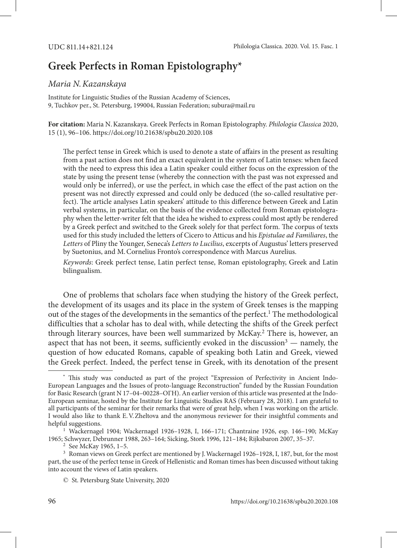## **Greek Perfects in Roman Epistolography\***

## *Maria N.Kazanskaya*

Institute for Linguistic Studies of the Russian Academy of Sciences, 9, Tuchkov per., St. Petersburg, 199004, Russian Federation; subura@mail.ru

**For citation:** Maria N.Kazanskaya. Greek Perfects in Roman Epistolography. *Philologia Classica* 2020, 15 (1), 96–106. https://doi.org/10.21638/spbu20.2020.108

The perfect tense in Greek which is used to denote a state of affairs in the present as resulting from a past action does not find an exact equivalent in the system of Latin tenses: when faced with the need to express this idea a Latin speaker could either focus on the expression of the state by using the present tense (whereby the connection with the past was not expressed and would only be inferred), or use the perfect, in which case the effect of the past action on the present was not directly expressed and could only be deduced (the so-called resultative perfect). The article analyses Latin speakers' attitude to this difference between Greek and Latin verbal systems, in particular, on the basis of the evidence collected from Roman epistolography when the letter-writer felt that the idea he wished to express could most aptly be rendered by a Greek perfect and switched to the Greek solely for that perfect form. The corpus of texts used for this study included the letters of Cicero to Atticus and his *Epistulae ad Familiares*, the *Letters* of Pliny the Younger, Seneca's *Letters to Lucilius*, excerpts of Augustus' letters preserved by Suetonius, and M.Cornelius Fronto's correspondence with Marcus Aurelius.

*Keywords*: Greek perfect tense, Latin perfect tense, Roman epistolography, Greek and Latin bilingualism.

One of problems that scholars face when studying the history of the Greek perfect, the development of its usages and its place in the system of Greek tenses is the mapping out of the stages of the developments in the semantics of the perfect.<sup>1</sup> The methodological difficulties that a scholar has to deal with, while detecting the shifts of the Greek perfect through literary sources, have been well summarized by McKay.<sup>2</sup> There is, however, an aspect that has not been, it seems, sufficiently evoked in the discussion<sup>3</sup>  $-$  namely, the question of how educated Romans, capable of speaking both Latin and Greek, viewed the Greek perfect. Indeed, the perfect tense in Greek, with its denotation of the present

**<sup>\*</sup>** This study was conducted as part of the project "Expression of Perfectivity in Ancient Indo-European Languages and the Issues of proto-language Reconstruction" funded by the Russian Foundation for Basic Research (grant N 17-04-00228-OFH). An earlier version of this article was presented at the Indo-European seminar, hosted by the Institute for Linguistic Studies RAS (February 28, 2018). I am grateful to all participants of the seminar for their remarks that were of great help, when I was working on the article. I would also like to thank E.V.Zheltova and the anonymous reviewer for their insightful comments and helpful suggestions.

<sup>1</sup> Wackernagel 1904; Wackernagel 1926–1928, I, 166–171; Chantraine 1926, esp. 146–190; McKay 1965; Schwyzer, Debrunner 1988, 263–164; Sicking, Stork 1996, 121–184; Rijksbaron 2007, 35–37.

<sup>2</sup> See McKay 1965, 1–5.

<sup>3</sup> Roman views on Greek perfect are mentioned by J.Wackernagel 1926–1928, I, 187, but, for the most part, the use of the perfect tense in Greek of Hellenistic and Roman times has been discussed without taking into account the views of Latin speakers.

<sup>©</sup> St. Petersburg State University, 2020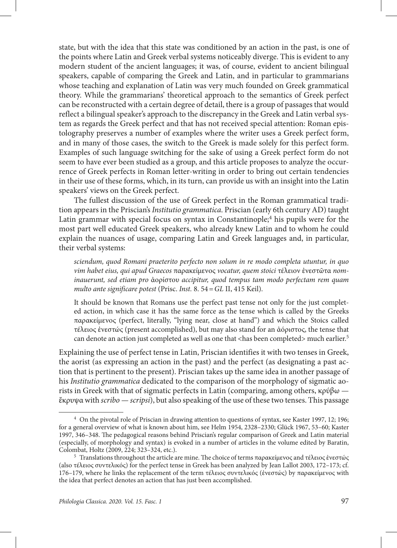state, but with the idea that this state was conditioned by an action in the past, is one of the points where Latin and Greek verbal systems noticeably diverge. This is evident to any modern student of the ancient languages; it was, of course, evident to ancient bilingual speakers, capable of comparing the Greek and Latin, and in particular to grammarians whose teaching and explanation of Latin was very much founded on Greek grammatical theory. While the grammarians' theoretical approach to the semantics of Greek perfect can be reconstructed with a certain degree of detail, there is a group of passages that would reflect a bilingual speaker's approach to the discrepancy in the Greek and Latin verbal system as regards the Greek perfect and that has not received special attention: Roman epistolography preserves a number of examples where the writer uses a Greek perfect form, and in many of those cases, the switch to the Greek is made solely for this perfect form. Examples of such language switching for the sake of using a Greek perfect form do not seem to have ever been studied as a group, and this article proposes to analyze the occurrence of Greek perfects in Roman letter-writing in order to bring out certain tendencies in their use of these forms, which, in its turn, can provide us with an insight into the Latin speakers' views on the Greek perfect.

The fullest discussion of the use of Greek perfect in the Roman grammatical tradition appears in the Priscian's *Institutio grammatica*. Priscian (early 6th century AD) taught Latin grammar with special focus on syntax in Constantinople;<sup>4</sup> his pupils were for the most part well educated Greek speakers, who already knew Latin and to whom he could explain the nuances of usage, comparing Latin and Greek languages and, in particular, their verbal systems:

*sciendum, quod Romani praeterito perfecto non solum in re modo completa utuntur, in quo vim habet eius, qui apud Graecos* παρακείμενος *vocatur, quem stoici* τέλειον ἐνεστῶτα *nominauerunt, sed etiam pro* ἀορίστου *accipitur, quod tempus tam modo perfectam rem quam multo ante significare potest* (Prisc. *Inst.* 8. 54=*GL* II, 415 Keil).

It should be known that Romans use the perfect past tense not only for the just completed action, in which case it has the same force as the tense which is called by the Greeks παρακείμενος (perfect, literally, "lying near, close at hand") and which the Stoics called τέλειος ἐνεστώς (present accomplished), but may also stand for an ἀόριστος, the tense that can denote an action just completed as well as one that <has been completed> much earlier.<sup>5</sup>

Explaining the use of perfect tense in Latin, Priscian identifies it with two tenses in Greek, the aorist (as expressing an action in the past) and the perfect (as designating a past action that is pertinent to the present). Priscian takes up the same idea in another passage of his *Institutio grammatica* dedicated to the comparison of the morphology of sigmatic aorists in Greek with that of sigmatic perfects in Latin (comparing, among others, κρύβω ἔκρυψα with *scribo — scripsi*), but also speaking of the use of these two tenses. This passage

<sup>4</sup> On the pivotal role of Priscian in drawing attention to questions of syntax, see Kaster 1997, 12; 196; for a general overview of what is known about him, see Helm 1954, 2328–2330; Glück 1967, 53–60; Kaster 1997, 346–348. The pedagogical reasons behind Priscian's regular comparison of Greek and Latin material (especially, of morphology and syntax) is evoked in a number of articles in the volume edited by Baratin, Colombat, Holtz (2009, 224; 323–324, etc.).

<sup>&</sup>lt;sup>5</sup> Translations throughout the article are mine. The choice of terms παρακείμενος and τέλειος ένεστώς (also τέλειος συντελικός) for the perfect tense in Greek has been analyzed by Jean Lallot 2003, 172–173; cf. 176–179, where he links the replacement of the term τέλειος συντελικός (ἐνεστώς) by παρακείμενος with the idea that perfect denotes an action that has just been accomplished.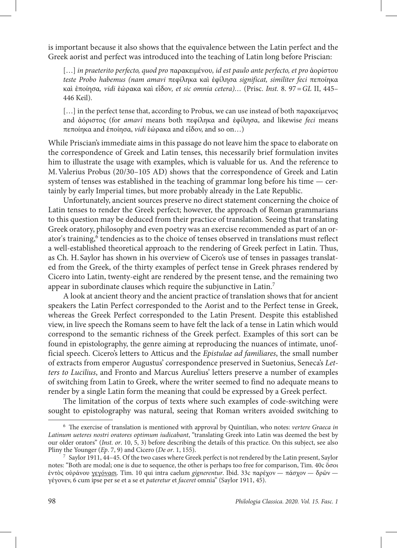is important because it also shows that the equivalence between the Latin perfect and the Greek aorist and perfect was introduced into the teaching of Latin long before Priscian:

[…] *in praeterito perfecto, quod pro* παρακειμένου*, id est paulo ante perfecto, et pro* ἀορίστου *teste Probo habemus (nam amavi* πεφίληκα καὶ ἐφίλησα *significat, similiter feci* πεποίηκα καὶ ἐποίησα*, vidi* ἑώρακα καὶ εἶδον*, et sic omnia cetera)…* (Prisc. *Inst.* 8. 97=*GL* II, 445– 446 Keil).

[…] in the perfect tense that, according to Probus, we can use instead of both παρακείμενος and ἀόριστος (for *amavi* means both πεφίληκα and ἐφίλησα, and likewise *feci* means πεποίηκα and ἐποίησα, *vidi* ἑώρακα and εἶδον, and so on…)

While Priscian's immediate aims in this passage do not leave him the space to elaborate on the correspondence of Greek and Latin tenses, this necessarily brief formulation invites him to illustrate the usage with examples, which is valuable for us. And the reference to M.Valerius Probus (20/30–105 AD) shows that the correspondence of Greek and Latin system of tenses was established in the teaching of grammar long before his time — certainly by early Imperial times, but more probably already in the Late Republic.

Unfortunately, ancient sources preserve no direct statement concerning the choice of Latin tenses to render the Greek perfect; however, the approach of Roman grammarians to this question may be deduced from their practice of translation. Seeing that translating Greek oratory, philosophy and even poetry was an exercise recommended as part of an orator's training,<sup>6</sup> tendencies as to the choice of tenses observed in translations must reflect a well-established theoretical approach to the rendering of Greek perfect in Latin. Thus, as Ch. H. Saylor has shown in his overview of Cicero's use of tenses in passages translated from the Greek, of the thirty examples of perfect tense in Greek phrases rendered by Cicero into Latin, twenty-eight are rendered by the present tense, and the remaining two appear in subordinate clauses which require the subjunctive in Latin.7

A look at ancient theory and the ancient practice of translation shows that for ancient speakers the Latin Perfect corresponded to the Aorist and to the Perfect tense in Greek, whereas the Greek Perfect corresponded to the Latin Present. Despite this established view, in live speech the Romans seem to have felt the lack of a tense in Latin which would correspond to the semantic richness of the Greek perfect. Examples of this sort can be found in epistolography, the genre aiming at reproducing the nuances of intimate, unofficial speech. Cicero's letters to Atticus and the *Epistulae ad familiares*, the small number of extracts from emperor Augustus' correspondence preserved in Suetonius, Seneca's *Letters to Lucilius*, and Fronto and Marcus Aurelius' letters preserve a number of examples of switching from Latin to Greek, where the writer seemed to find no adequate means to render by a single Latin form the meaning that could be expressed by a Greek perfect.

The limitation of the corpus of texts where such examples of code-switching were sought to epistolography was natural, seeing that Roman writers avoided switching to

<sup>6</sup> The exercise of translation is mentioned with approval by Quintilian, who notes: *vertere Graeca in Latinum ueteres nostri oratores optimum iudicabant*, "translating Greek into Latin was deemed the best by our older orators" (*Inst. or*. 10, 5, 3) before describing the details of this practice. On this subject, see also Pliny the Younger (*Ep*. 7, 9) and Cicero (*De or*. 1, 155).

<sup>7</sup> Saylor 1911, 44–45. Of the two cases where Greek perfect is not rendered by the Latin present, Saylor notes: "Both are modal; one is due to sequence, the other is perhaps too free for comparison, Tim. 40c ὅσοι ἐντὸς οὐράνου γεγόνασι. Tim. 10 qui intra caelum *gignerentur*. Ibid. 33c παρέχον — πάσχον — δρῶν γέγονεν, 6 cum ipse per se et a se et *pateretur* et *faceret* omnia" (Saylor 1911, 45).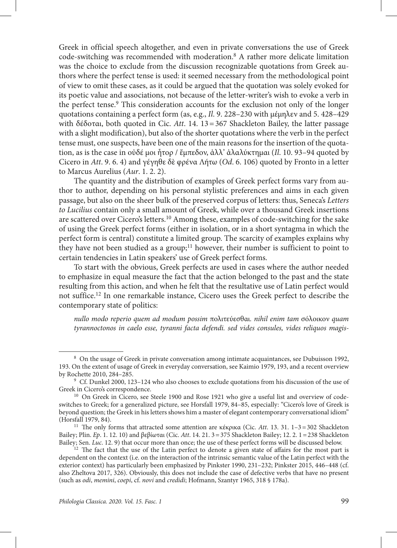Greek in official speech altogether, and even in private conversations the use of Greek code-switching was recommended with moderation.<sup>8</sup> A rather more delicate limitation was the choice to exclude from the discussion recognizable quotations from Greek authors where the perfect tense is used: it seemed necessary from the methodological point of view to omit these cases, as it could be argued that the quotation was solely evoked for its poetic value and associations, not because of the letter-writer's wish to evoke a verb in the perfect tense.<sup>9</sup> This consideration accounts for the exclusion not only of the longer quotations containing a perfect form (as, e.g., *Il*. 9. 228–230 with μέμηλεν and 5. 428–429 with δέδοται, both quoted in Cic. *Att*. 14. 13=367 Shackleton Bailey, the latter passage with a slight modification), but also of the shorter quotations where the verb in the perfect tense must, one suspects, have been one of the main reasons for the insertion of the quotation, as is the case in οὐδέ μοι ἦτορ / ἔμπεδον, ἀλλ' ἀλαλύκτημαι (*Il*. 10. 93–94 quoted by Cicero in *Att*. 9. 6. 4) and γέγηθε δὲ φρένα Λήτω (*Od*. 6. 106) quoted by Fronto in a letter to Marcus Aurelius (*Aur*. 1. 2. 2).

The quantity and the distribution of examples of Greek perfect forms vary from author to author, depending on his personal stylistic preferences and aims in each given passage, but also on the sheer bulk of the preserved corpus of letters: thus, Seneca's *Letters to Lucilius* contain only a small amount of Greek, while over a thousand Greek insertions are scattered over Cicero's letters.10 Among these, examples of code-switching for the sake of using the Greek perfect forms (either in isolation, or in a short syntagma in which the perfect form is central) constitute a limited group. The scarcity of examples explains why they have not been studied as a group;<sup>11</sup> however, their number is sufficient to point to certain tendencies in Latin speakers' use of Greek perfect forms.

To start with the obvious, Greek perfects are used in cases where the author needed to emphasize in equal measure the fact that the action belonged to the past and the state resulting from this action, and when he felt that the resultative use of Latin perfect would not suffice.12 In one remarkable instance, Cicero uses the Greek perfect to describe the contemporary state of politics:

*nullo modo reperio quem ad modum possim* πολιτεύεσθαι*. nihil enim tam* σόλοικον *quam tyrannoctonos in caelo esse, tyranni facta defendi. sed vides consules, vides reliquos magis-*

<sup>8</sup> On the usage of Greek in private conversation among intimate acquaintances, see Dubuisson 1992, 193. On the extent of usage of Greek in everyday conversation, see Kaimio 1979, 193, and a recent overview by Rochette 2010, 284–285.

<sup>9</sup> Cf. Dunkel 2000, 123–124 who also chooses to exclude quotations from his discussion of the use of Greek in Cicero's correspondence.

<sup>&</sup>lt;sup>10</sup> On Greek in Cicero, see Steele 1900 and Rose 1921 who give a useful list and overview of codeswitches to Greek; for a generalized picture, see Horsfall 1979, 84–85, especially: "Cicero's love of Greek is beyond question; the Greek in his letters shows him a master of elegant contemporary conversational idiom" (Horsfall 1979, 84).

<sup>11</sup> The only forms that attracted some attention are κέκρικα (Cic. *Att*. 13. 31. 1–3=302 Shackleton Bailey; Plin. *Ep*. 1. 12. 10) and βεβίωται (Cic. *Att*. 14. 21. 3=375 Shackleton Bailey; 12. 2. 1=238 Shackleton Bailey; Sen. *Luc*. 12. 9) that occur more than once; the use of these perfect forms will be discussed below.

 $12$  The fact that the use of the Latin perfect to denote a given state of affairs for the most part is dependent on the context (i.e. on the interaction of the intrinsic semantic value of the Latin perfect with the exterior context) has particularly been emphasized by Pinkster 1990, 231–232; Pinkster 2015, 446–448 (cf. also Zheltova 2017, 326). Obviously, this does not include the case of defective verbs that have no present (such as *odi*, *memini*, *coepi*, cf. *novi* and *credidi*; Hofmann, Szantyr 1965, 318 § 178a).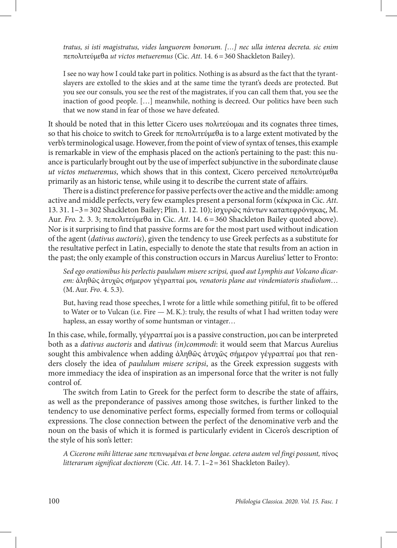*tratus, si isti magistratus, vides languorem bonorum. […] nec ulla interea decreta. sic enim*  πεπολιτεύμεθα *ut victos metueremus* (Cic. *Att*. 14. 6=360 Shackleton Bailey).

I see no way how I could take part in politics. Nothing is as absurd as the fact that the tyrantslayers are extolled to the skies and at the same time the tyrant's deeds are protected. But you see our consuls, you see the rest of the magistrates, if you can call them that, you see the inaction of good people. […] meanwhile, nothing is decreed. Our politics have been such that we now stand in fear of those we have defeated.

It should be noted that in this letter Cicero uses πολιτεύομαι and its cognates three times, so that his choice to switch to Greek for πεπολιτεύμεθα is to a large extent motivated by the verb's terminological usage. However, from the point of view of syntax of tenses, this example is remarkable in view of the emphasis placed on the action's pertaining to the past: this nuance is particularly brought out by the use of imperfect subjunctive in the subordinate clause *ut victos metueremus*, which shows that in this context, Cicero perceived πεπολιτεύμεθα primarily as an historic tense, while using it to describe the current state of affairs.

There is a distinct preference for passive perfects over the active and the middle: among active and middle perfects, very few examples present a personal form (κέκρικα in Cic. *Att*. 13. 31. 1–3=302 Shackleton Bailey; Plin. 1. 12. 10); ἰσχυρῶς πάντων καταπεφρόνηκας, M. Aur. *Fro.* 2. 3. 3; πεπολιτεύμεθα in Cic. *Att*. 14. 6=360 Shackleton Bailey quoted above). Nor is it surprising to find that passive forms are for the most part used without indication of the agent (*dativus auctoris*), given the tendency to use Greek perfects as a substitute for the resultative perfect in Latin, especially to denote the state that results from an action in the past; the only example of this construction occurs in Marcus Aurelius' letter to Fronto:

*Sed ego orationibus his perlectis paululum misere scripsi, quod aut Lymphis aut Volcano dicarem:* ἀληθῶς ἀτυχῶς σήμερον γέγραπταί μοι*, venatoris plane aut vindemiatoris studiolum*… (M.Aur. *Fro*. 4. 5.3).

But, having read those speeches, I wrote for a little while something pitiful, fit to be offered to Water or to Vulcan (i.e. Fire — M.K.): truly, the results of what I had written today were hapless, an essay worthy of some huntsman or vintager…

In this case, while, formally, γέγραπταί μοι is a passive construction, μοι can be interpreted both as a *dativus auctoris* and *dativus (in)commodi*: it would seem that Marcus Aurelius sought this ambivalence when adding ἀληθῶς ἀτυχῶς σήμερον γέγραπταί μοι that renders closely the idea of *paululum misere scripsi*, as the Greek expression suggests with more immediacy the idea of inspiration as an impersonal force that the writer is not fully control of.

The switch from Latin to Greek for the perfect form to describe the state of affairs, as well as the preponderance of passives among those switches, is further linked to the tendency to use denominative perfect forms, especially formed from terms or colloquial expressions. The close connection between the perfect of the denominative verb and the noun on the basis of which it is formed is particularly evident in Cicero's description of the style of his son's letter:

*A Cicerone mihi litterae sane* πεπινωμέναι *et bene longae. cetera autem vel fingi possunt,* πίνος *litterarum significat doctiorem* (Cic. *Att*. 14. 7. 1–2=361 Shackleton Bailey).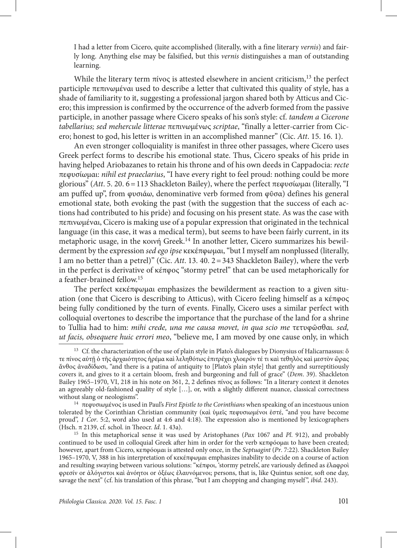I had a letter from Cicero, quite accomplished (literally, with a fine literary *vernis*) and fairly long. Anything else may be falsified, but this *vernis* distinguishes a man of outstanding learning.

While the literary term  $\pi$ ίνος is attested elsewhere in ancient criticism,<sup>13</sup> the perfect participle πεπινωμέναι used to describe a letter that cultivated this quality of style, has a shade of familiarity to it, suggesting a professional jargon shared both by Atticus and Cicero; this impression is confirmed by the occurrence of the adverb formed from the passive participle, in another passage where Cicero speaks of his son's style: cf. *tandem a Cicerone tabellarius; sed mehercule litterae* πεπινωμένως *scriptae*, "finally a letter-carrier from Cicero; honest to god, his letter is written in an accomplished manner" (Cic. *Att*. 15. 16. 1).

An even stronger colloquiality is manifest in three other passages, where Cicero uses Greek perfect forms to describe his emotional state. Thus, Cicero speaks of his pride in having helped Ariobazanes to retain his throne and of his own deeds in Cappadocia: *recte*  πεφυσίωμαι: *nihil est praeclarius*, "I have every right to feel proud: nothing could be more glorious" (*Att*. 5. 20. 6=113 Shackleton Bailey), where the perfect πεφυσίωμαι (literally, "I am puffed up", from φυσιάω, denominative verb formed from φῦσα) defines his general emotional state, both evoking the past (with the suggestion that the success of each actions had contributed to his pride) and focusing on his present state. As was the case with πεπινωμέναι, Cicero is making use of a popular expression that originated in the technical language (in this case, it was a medical term), but seems to have been fairly current, in its metaphoric usage, in the κοινή Greek.14 In another letter, Cicero summarizes his bewilderment by the expression *sed ego ipse* κεκέπφωμαι, "but I myself am nonplussed (literally, I am no better than a petrel)" (Cic. *Att*. 13. 40. 2=343 Shackleton Bailey), where the verb in the perfect is derivative of κέπφος "stormy petrel" that can be used metaphorically for a feather-brained fellow.15

The perfect κεκέπφωμαι emphasizes the bewilderment as reaction to a given situation (one that Cicero is describing to Atticus), with Cicero feeling himself as a κέπφος being fully conditioned by the turn of events. Finally, Cicero uses a similar perfect with colloquial overtones to describe the importance that the purchase of the land for a shrine to Tullia had to him: *mihi crede, una me causa movet, in qua scio me* τετυφῶσθαι*. sed, ut facis, obsequere huic errori meo*, "believe me, I am moved by one cause only, in which

<sup>&</sup>lt;sup>13</sup> Cf. the characterization of the use of plain style in Plato's dialogues by Dionysius of Halicarnassus: ὅ τε πίνος αὐτῇ ὁ τῆς ἀρχαιότητος ἠρέμα καὶ λεληθότως ἐπιτρέχει χλοερόν τέ τι καὶ τεθηλὸς καὶ μεστὸν ὥρας ἄνθος ἀναδίδωσι, "and there is a patina of antiquity to [Plato's plain style] that gently and surreptitiously covers it, and gives to it a certain bloom, fresh and burgeoning and full of grace" (*Dem*. 39). Shackleton Bailey 1965–1970, VI, 218 in his note on 361, 2, 2 defines πίνος as follows: "In a literary context it denotes an agreeably old-fashioned quality of style […], or, with a slightly different nuance, classical correctness without slang or neologisms".

<sup>14</sup> πεφυσιωμένος is used in Paul's *First Epistle to the Corinthians* when speaking of an incestuous union tolerated by the Corinthian Christian community (καὶ ὑμεῖς πεφυσιωμένοι ἐστέ, "and you have become proud", *1 Cor*. 5:2, word also used at 4:6 and 4:18). The expression also is mentioned by lexicographers (Hsch. π 2139, cf. schol. in Theocr. *Id*. 1. 43a).

<sup>15</sup> In this metaphorical sense it was used by Aristophanes (*Pax* 1067 and *Pl*. 912), and probably continued to be used in colloquial Greek after him in order for the verb κεπφόομαι to have been created; however, apart from Cicero, κεπφόομαι is attested only once, in the *Septuagint* (*Pr*. 7:22). Shackleton Bailey 1965–1970, V, 388 in his interpretation of κεκέπφωμαι emphasizes inability to decide on a course of action and resulting swaying between various solutions: "κέπφοι, 'stormy petrels', are variously defined as ἐλαφροὶ φρεσίν or ἀλόγιστοι καὶ ἀνόητοι or ὀξέως ἐλαυνόμενοι; persons, that is, like Quintus senior, soft one day, savage the next" (cf. his translation of this phrase, "but I am chopping and changing myself ", *ibid*. 243).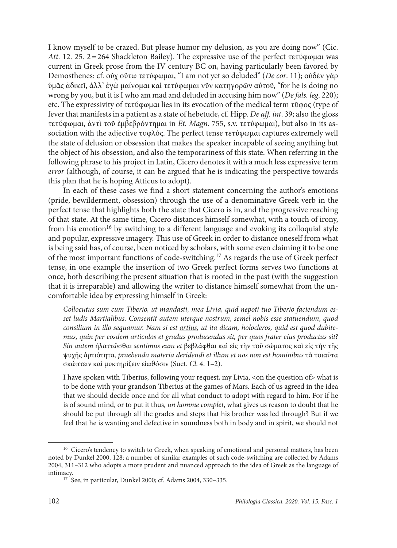I know myself to be crazed. But please humor my delusion, as you are doing now" (Cic. *Att*. 12. 25. 2=264 Shackleton Bailey). The expressive use of the perfect τετύφωμαι was current in Greek prose from the IV century BC on, having particularly been favored by Demosthenes: cf. οὐχ οὕτω τετύφωμαι, "I am not yet so deluded" (*De cor*. 11); οὐδὲν γὰρ ὑμᾶς ἀδικεῖ, ἀλλ' ἐγὼ μαίνομαι καὶ τετύφωμαι νῦν κατηγορῶν αὐτοῦ, "for he is doing no wrong by you, but it is I who am mad and deluded in accusing him now" (*De fals. leg*. 220); etc. The expressivity of τετύφωμαι lies in its evocation of the medical term τῦφος (type of fever that manifests in a patient as a state of hebetude, cf. Hipp. *De aff. int*. 39; also the gloss τετύφωμαι, ἀντὶ τοῦ ἐμβεβρόντημαι in *Et. Magn*. 755, s.v. τετύφωμαι), but also in its association with the adjective τυφλός. The perfect tense τετύφωμαι captures extremely well the state of delusion or obsession that makes the speaker incapable of seeing anything but the object of his obsession, and also the temporariness of this state. When referring in the following phrase to his project in Latin, Cicero denotes it with a much less expressive term *error* (although, of course, it can be argued that he is indicating the perspective towards this plan that he is hoping Atticus to adopt).

In each of these cases we find a short statement concerning the author's emotions (pride, bewilderment, obsession) through the use of a denominative Greek verb in the perfect tense that highlights both the state that Cicero is in, and the progressive reaching of that state. At the same time, Cicero distances himself somewhat, with a touch of irony, from his emotion<sup>16</sup> by switching to a different language and evoking its colloquial style and popular, expressive imagery. This use of Greek in order to distance oneself from what is being said has, of course, been noticed by scholars, with some even claiming it to be one of the most important functions of code-switching.17 As regards the use of Greek perfect tense, in one example the insertion of two Greek perfect forms serves two functions at once, both describing the present situation that is rooted in the past (with the suggestion that it is irreparable) and allowing the writer to distance himself somewhat from the uncomfortable idea by expressing himself in Greek:

*Collocutus sum cum Tiberio, ut mandasti, mea Livia, quid nepoti tuo Tiberio faciendum esset ludis Martialibus. Consentit autem uterque nostrum, semel nobis esse statuendum, quod consilium in illo sequamur. Nam si est artius, ut ita dicam, holocleros, quid est quod dubitemus, quin per eosdem articulos et gradus producendus sit, per quos frater eius productus sit? Sin autem* ἠλαττῶσθαι *sentimus eum et* βεβλάφθαι καὶ εἰς τὴν τοῦ σώματος καὶ εἰς τὴν τῆς ψυχῆς ἀρτιότητα*, praebenda materia deridendi et illum et nos non est hominibus* τὰ τοιαῦτα σκώπτειν καὶ μυκτηρίζειν εἰωθόσιν (Suet. *Cl*. 4. 1–2).

I have spoken with Tiberius, following your request, my Livia, <on the question of> what is to be done with your grandson Tiberius at the games of Mars. Each of us agreed in the idea that we should decide once and for all what conduct to adopt with regard to him. For if he is of sound mind, or to put it thus, *un homme complet*, what gives us reason to doubt that he should be put through all the grades and steps that his brother was led through? But if we feel that he is wanting and defective in soundness both in body and in spirit, we should not

<sup>&</sup>lt;sup>16</sup> Cicero's tendency to switch to Greek, when speaking of emotional and personal matters, has been noted by Dunkel 2000, 128; a number of similar examples of such code-switching are collected by Adams 2004, 311–312 who adopts a more prudent and nuanced approach to the idea of Greek as the language of intimacy.

<sup>17</sup> See, in particular, Dunkel 2000; cf. Adams 2004, 330–335.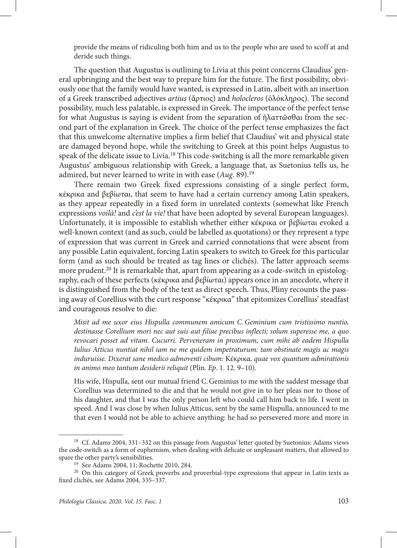provide the means of ridiculing both him and us to the people who are used to scoff at and deride such things.

The question that Augustus is outlining to Livia at this point concerns Claudius' general upbringing and the best way to prepare him for the future. The first possibility, obviously one that the family would have wanted, is expressed in Latin, albeit with an insertion of a Greek transcribed adjectives *artius* (ἄρτιος) and *holocleros* (ὁλόκληρος). The second possibility, much less palatable, is expressed in Greek. The importance of the perfect tense for what Augustus is saying is evident from the separation of ἠλαττῶσθαι from the second part of the explanation in Greek. The choice of the perfect tense emphasizes the fact that this unwelcome alternative implies a firm belief that Claudius' wit and physical state are damaged beyond hope, while the switching to Greek at this point helps Augustus to speak of the delicate issue to Livia.<sup>18</sup> This code-switching is all the more remarkable given Augustus' ambiguous relationship with Greek, a language that, as Suetonius tells us, he admired, but never learned to write in with ease (*Aug.* 89).<sup>19</sup>

There remain two Greek fixed expressions consisting of a single perfect form, κέκρικα and βεβίωται, that seem to have had a certain currency among Latin speakers, as they appear repeatedly in a fixed form in unrelated contexts (somewhat like French expressions *voilà!* and *c'est la vie!* that have been adopted by several European languages). Unfortunately, it is impossible to establish whether either κέκρικα or βεβίωται evoked a well-known context (and as such, could be labelled as quotations) or they represent a type of expression that was current in Greek and carried connotations that were absent from any possible Latin equivalent, forcing Latin speakers to switch to Greek for this particular form (and as such should be treated as tag lines or clichés). The latter approach seems more prudent.<sup>20</sup> It is remarkable that, apart from appearing as a code-switch in epistolography, each of these perfects (κέκρικα and βεβίωται) appears once in an anecdote, where it is distinguished from the body of the text as direct speech. Thus, Pliny recounts the passing away of Corellius with the curt response "κέκρικα" that epitomizes Corellius' steadfast and courageous resolve to die:

*Misit ad me uxor eius Hispulla communem amicum C.Geminium cum tristissimo nuntio, destinasse Corellium mori nec aut suis aut filiae precibus inflecti; solum superesse me, a quo revocari posset ad vitam. Cucurri. Perveneram in proximum, cum mihi ab eadem Hispulla Iulius Atticus nuntiat nihil iam ne me quidem impetraturum: tam obstinate magis ac magis induruisse. Dixerat sane medico admoventi cibum:* Κέκρικα*, quae vox quantum admirationis in animo meo tantum desiderii reliquit* (Plin. *Ep*. 1. 12. 9–10).

His wife, Hispulla, sent our mutual friend C.Geminius to me with the saddest message that Corellius was determined to die and that he would not give in to her pleas nor to those of his daughter, and that I was the only person left who could call him back to life. I went in speed. And I was close by when Iulius Atticus, sent by the same Hispulla, announced to me that even I would not be able to achieve anything: he had so persevered more and more in

<sup>18</sup> Cf. Adams 2004, 331–332 on this passage from Augustus' letter quoted by Suetonius: Adams views the code-switch as a form of euphemism, when dealing with delicate or unpleasant matters, that allowed to spare the other party's sensibilities.

<sup>19</sup> See Adams 2004, 11; Rochette 2010, 284.

<sup>&</sup>lt;sup>20</sup> On this category of Greek proverbs and proverbial-type expressions that appear in Latin texts as fixed clichés, see Adams 2004, 335–337.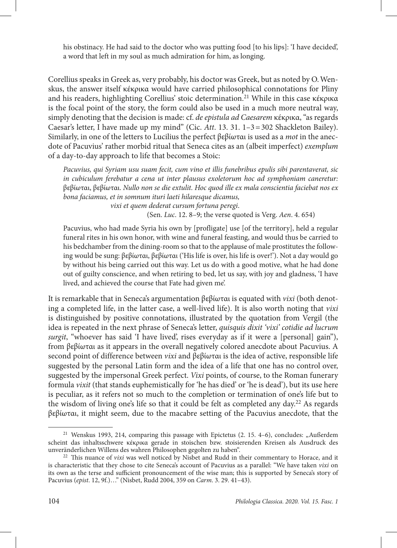his obstinacy. He had said to the doctor who was putting food [to his lips]: 'I have decided', a word that left in my soul as much admiration for him, as longing.

Corellius speaks in Greek as, very probably, his doctor was Greek, but as noted by O.Wenskus, the answer itself κέκρικα would have carried philosophical connotations for Pliny and his readers, highlighting Corellius' stoic determination.<sup>21</sup> While in this case κέκρικα is the focal point of the story, the form could also be used in a much more neutral way, simply denoting that the decision is made: cf. *de epistula ad Caesarem* κέκρικα, "as regards Caesar's letter, I have made up my mind" (Cic. *Att*. 13. 31. 1–3=302 Shackleton Bailey). Similarly, in one of the letters to Lucilius the perfect βεβίωται is used as a *mot* in the anecdote of Pacuvius' rather morbid ritual that Seneca cites as an (albeit imperfect) *exemplum* of a day-to-day approach to life that becomes a Stoic:

*Pacuvius, qui Syriam usu suam fecit, cum vino et illis funebribus epulis sibi parentaverat, sic in cubiculum ferebatur a cena ut inter plausus exoletorum hoc ad symphoniam caneretur:* βεβίωται, βεβίωται. *Nullo non se die extulit. Hoc quod ille ex mala conscientia faciebat nos ex bona faciamus, et in somnum ituri laeti hilaresque dicamus,* 

*vixi et quem dederat cursum fortuna peregi*.

(Sen. *Luc*. 12. 8–9; the verse quoted is Verg. *Aen*. 4. 654)

Pacuvius, who had made Syria his own by [profligate] use [of the territory], held a regular funeral rites in his own honor, with wine and funeral feasting, and would thus be carried to his bedchamber from the dining-room so that to the applause of male prostitutes the following would be sung: βεβίωται, βεβίωται ('His life is over, his life is over!'). Not a day would go by without his being carried out this way. Let us do with a good motive, what he had done out of guilty conscience, and when retiring to bed, let us say, with joy and gladness, 'I have lived, and achieved the course that Fate had given me'.

It is remarkable that in Seneca's argumentation βεβίωται is equated with *vixi* (both denoting a completed life, in the latter case, a well-lived life). It is also worth noting that *vixi* is distinguished by positive connotations, illustrated by the quotation from Vergil (the idea is repeated in the next phrase of Seneca's letter, *quisquis dixit 'vixi' cotidie ad lucrum surgit*, "whoever has said 'I have lived', rises everyday as if it were a [personal] gain"), from βεβίωται as it appears in the overall negatively colored anecdote about Pacuvius. A second point of difference between *vixi* and βεβίωται is the idea of active, responsible life suggested by the personal Latin form and the idea of a life that one has no control over, suggested by the impersonal Greek perfect. *Vixi* points, of course, to the Roman funerary formula *vixit* (that stands euphemistically for 'he has died' or 'he is dead'), but its use here is peculiar, as it refers not so much to the completion or termination of one's life but to the wisdom of living one's life so that it could be felt as completed any day.<sup>22</sup> As regards βεβίωται, it might seem, due to the macabre setting of the Pacuvius anecdote, that the

<sup>&</sup>lt;sup>21</sup> Wenskus 1993, 214, comparing this passage with Epictetus  $(2. 15. 4-6)$ , concludes: "Außerdem scheint das inhaltsschwere κέκρικα gerade in stoischen bzw. stoisierenden Kreisen als Ausdruck des unveränderlichen Willens des wahren Philosophen gegolten zu haben".

<sup>22</sup> This nuance of *vixi* was well noticed by Nisbet and Rudd in their commentary to Horace, and it is characteristic that they chose to cite Seneca's account of Pacuvius as a parallel: "We have taken *vixi* on its own as the terse and sufficient pronouncement of the wise man; this is supported by Seneca's story of Pacuvius (*epist*. 12, 9f.)…" (Nisbet, Rudd 2004, 359 on *Carm*. 3. 29. 41–43).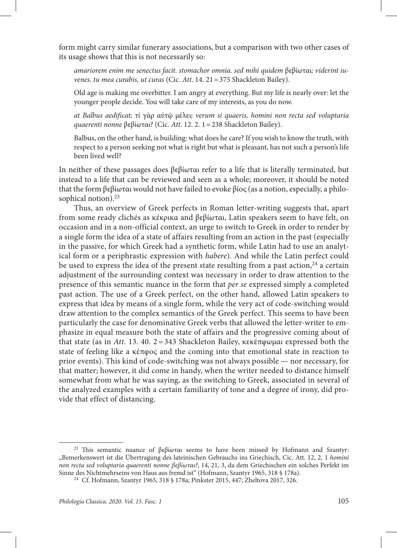form might carry similar funerary associations, but a comparison with two other cases of its usage shows that this is not necessarily so:

*amariorem enim me senectus facit. stomachor omnia. sed mihi quidem* βεβίωται*; viderint iuvenes. tu mea curabis, ut curas* (Cic. *Att*. 14. 21=375 Shackleton Bailey).

Old age is making me overbitter. I am angry at everything. But my life is nearly over: let the younger people decide. You will take care of my interests, as you do now.

*at Balbus aedificat;* τί γὰρ αὐτῷ μέλει; *verum si quaeris, homini non recta sed voluptaria quaerenti nonne* βεβίωται*?* (Cic. *Att*. 12. 2. 1=238 Shackleton Bailey).

Balbus, on the other hand, is building: what does he care? If you wish to know the truth, with respect to a person seeking not what is right but what is pleasant, has not such a person's life been lived well?

In neither of these passages does βεβίωται refer to a life that is literally terminated, but instead to a life that can be reviewed and seen as a whole; moreover, it should be noted that the form βεβίωται would not have failed to evoke βίος (as a notion, especially, a philosophical notion).<sup>23</sup>

Thus, an overview of Greek perfects in Roman letter-writing suggests that, apart from some ready clichés as κέκρικα and βεβίωται, Latin speakers seem to have felt, on occasion and in a non-official context, an urge to switch to Greek in order to render by a single form the idea of a state of affairs resulting from an action in the past (especially in the passive, for which Greek had a synthetic form, while Latin had to use an analytical form or a periphrastic expression with *habere*). And while the Latin perfect could be used to express the idea of the present state resulting from a past action,  $24$  a certain adjustment of the surrounding context was necessary in order to draw attention to the presence of this semantic nuance in the form that *per se* expressed simply a completed past action. The use of a Greek perfect, on the other hand, allowed Latin speakers to express that idea by means of a single form, while the very act of code-switching would draw attention to the complex semantics of the Greek perfect. This seems to have been particularly the case for denominative Greek verbs that allowed the letter-writer to emphasize in equal measure both the state of affairs and the progressive coming about of that state (as in *Att*. 13. 40. 2= 343 Shackleton Bailey, κεκέπφωμαι expressed both the state of feeling like a κέπφος and the coming into that emotional state in reaction to prior events). This kind of code-switching was not always possible — nor necessary, for that matter; however, it did come in handy, when the writer needed to distance himself somewhat from what he was saying, as the switching to Greek, associated in several of the analyzed examples with a certain familiarity of tone and a degree of irony, did provide that effect of distancing.

<sup>&</sup>lt;sup>23</sup> This semantic nuance of βεβίωται seems to have been missed by Hofmann and Szantyr: "Bemerkenswert ist die Übertragung des lateinischen Gebrauchs ins Griechisch, Cic. Att. 12, 2, 1 *homini non recta sed voluptaria quaerenti nonne βεβίωται?*, 14, 21, 3, da dem Griechischen ein solches Perfekt im Sinne des Nichtmehrseins von Haus aus fremd ist" (Hofmann, Szantyr 1965, 318 § 178a).

<sup>24</sup> Cf. Hofmann, Szantyr 1965, 318 § 178a; Pinkster 2015, 447; Zheltova 2017, 326.